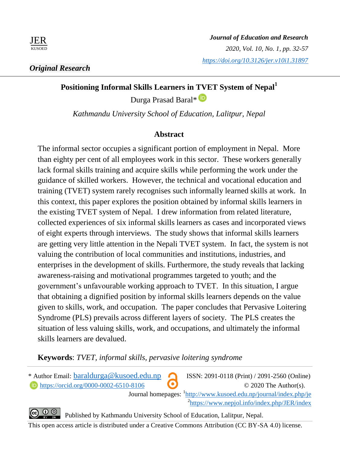

*Original Research*

# **Positioning Informal Skills Learners in TVET System of Nepal<sup>1</sup>**

Durga Prasad Baral\*<sup>1</sup>

*Kathmandu University School of Education, Lalitpur, Nepal* 

## **Abstract**

The informal sector occupies a significant portion of employment in Nepal. More than eighty per cent of all employees work in this sector. These workers generally lack formal skills training and acquire skills while performing the work under the guidance of skilled workers. However, the technical and vocational education and training (TVET) system rarely recognises such informally learned skills at work. In this context, this paper explores the position obtained by informal skills learners in the existing TVET system of Nepal. I drew information from related literature, collected experiences of six informal skills learners as cases and incorporated views of eight experts through interviews. The study shows that informal skills learners are getting very little attention in the Nepali TVET system. In fact, the system is not valuing the contribution of local communities and institutions, industries, and enterprises in the development of skills. Furthermore, the study reveals that lacking awareness-raising and motivational programmes targeted to youth; and the government's unfavourable working approach to TVET. In this situation, I argue that obtaining a dignified position by informal skills learners depends on the value given to skills, work, and occupation. The paper concludes that Pervasive Loitering Syndrome (PLS) prevails across different layers of society. The PLS creates the situation of less valuing skills, work, and occupations, and ultimately the informal skills learners are devalued.

# **Keywords**: *TVET, informal skills, pervasive loitering syndrome*



This open access article is distributed under a Creative Commons Attribution (CC BY-SA 4.0) license.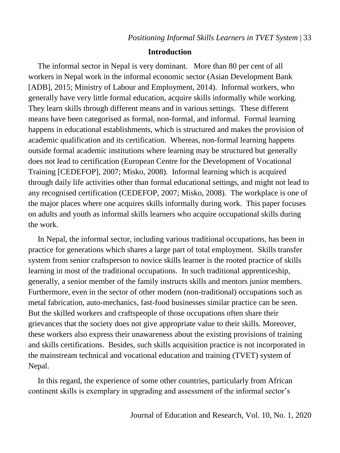#### **Introduction**

The informal sector in Nepal is very dominant. More than 80 per cent of all workers in Nepal work in the informal economic sector (Asian Development Bank [ADB], 2015; Ministry of Labour and Employment, 2014). Informal workers, who generally have very little formal education, acquire skills informally while working. They learn skills through different means and in various settings. These different means have been categorised as formal, non-formal, and informal. Formal learning happens in educational establishments, which is structured and makes the provision of academic qualification and its certification. Whereas, non-formal learning happens outside formal academic institutions where learning may be structured but generally does not lead to certification (European Centre for the Development of Vocational Training [CEDEFOP], 2007; Misko, 2008). Informal learning which is acquired through daily life activities other than formal educational settings, and might not lead to any recognised certification (CEDEFOP, 2007; Misko, 2008). The workplace is one of the major places where one acquires skills informally during work. This paper focuses on adults and youth as informal skills learners who acquire occupational skills during the work.

In Nepal, the informal sector, including various traditional occupations, has been in practice for generations which shares a large part of total employment. Skills transfer system from senior craftsperson to novice skills learner is the rooted practice of skills learning in most of the traditional occupations. In such traditional apprenticeship, generally, a senior member of the family instructs skills and mentors junior members. Furthermore, even in the sector of other modern (non-traditional) occupations such as metal fabrication, auto-mechanics, fast-food businesses similar practice can be seen. But the skilled workers and craftspeople of those occupations often share their grievances that the society does not give appropriate value to their skills. Moreover, these workers also express their unawareness about the existing provisions of training and skills certifications. Besides, such skills acquisition practice is not incorporated in the mainstream technical and vocational education and training (TVET) system of Nepal.

In this regard, the experience of some other countries, particularly from African continent skills is exemplary in upgrading and assessment of the informal sector's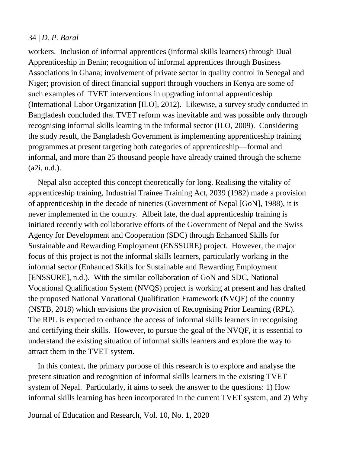workers. Inclusion of informal apprentices (informal skills learners) through Dual Apprenticeship in Benin; recognition of informal apprentices through Business Associations in Ghana; involvement of private sector in quality control in Senegal and Niger; provision of direct financial support through vouchers in Kenya are some of such examples of TVET interventions in upgrading informal apprenticeship (International Labor Organization [ILO], 2012). Likewise, a survey study conducted in Bangladesh concluded that TVET reform was inevitable and was possible only through recognising informal skills learning in the informal sector (ILO, 2009). Considering the study result, the Bangladesh Government is implementing apprenticeship training programmes at present targeting both categories of apprenticeship—formal and informal, and more than 25 thousand people have already trained through the scheme (a2i, n.d.).

Nepal also accepted this concept theoretically for long. Realising the vitality of apprenticeship training, Industrial Trainee Training Act, 2039 (1982) made a provision of apprenticeship in the decade of nineties (Government of Nepal [GoN], 1988), it is never implemented in the country. Albeit late, the dual apprenticeship training is initiated recently with collaborative efforts of the Government of Nepal and the Swiss Agency for Development and Cooperation (SDC) through Enhanced Skills for Sustainable and Rewarding Employment (ENSSURE) project. However, the major focus of this project is not the informal skills learners, particularly working in the informal sector (Enhanced Skills for Sustainable and Rewarding Employment [ENSSURE], n.d.). With the similar collaboration of GoN and SDC, National Vocational Qualification System (NVQS) project is working at present and has drafted the proposed National Vocational Qualification Framework (NVQF) of the country (NSTB, 2018) which envisions the provision of Recognising Prior Learning (RPL). The RPL is expected to enhance the access of informal skills learners in recognising and certifying their skills. However, to pursue the goal of the NVQF, it is essential to understand the existing situation of informal skills learners and explore the way to attract them in the TVET system.

In this context, the primary purpose of this research is to explore and analyse the present situation and recognition of informal skills learners in the existing TVET system of Nepal. Particularly, it aims to seek the answer to the questions: 1) How informal skills learning has been incorporated in the current TVET system, and 2) Why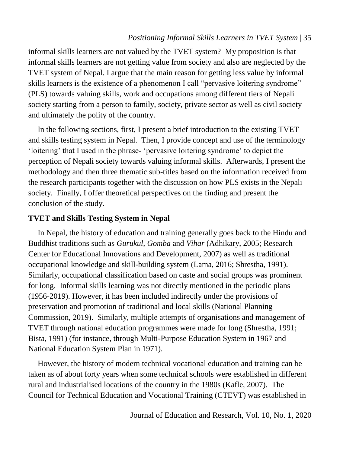informal skills learners are not valued by the TVET system? My proposition is that informal skills learners are not getting value from society and also are neglected by the TVET system of Nepal. I argue that the main reason for getting less value by informal skills learners is the existence of a phenomenon I call "pervasive loitering syndrome" (PLS) towards valuing skills, work and occupations among different tiers of Nepali society starting from a person to family, society, private sector as well as civil society and ultimately the polity of the country.

In the following sections, first, I present a brief introduction to the existing TVET and skills testing system in Nepal. Then, I provide concept and use of the terminology 'loitering' that I used in the phrase- 'pervasive loitering syndrome' to depict the perception of Nepali society towards valuing informal skills. Afterwards, I present the methodology and then three thematic sub-titles based on the information received from the research participants together with the discussion on how PLS exists in the Nepali society. Finally, I offer theoretical perspectives on the finding and present the conclusion of the study.

### **TVET and Skills Testing System in Nepal**

In Nepal, the history of education and training generally goes back to the Hindu and Buddhist traditions such as *Gurukul, Gomba* and *Vihar* (Adhikary, 2005; Research Center for Educational Innovations and Development, 2007) as well as traditional occupational knowledge and skill-building system (Lama, 2016; Shrestha, 1991). Similarly, occupational classification based on caste and social groups was prominent for long. Informal skills learning was not directly mentioned in the periodic plans (1956-2019). However, it has been included indirectly under the provisions of preservation and promotion of traditional and local skills (National Planning Commission, 2019). Similarly, multiple attempts of organisations and management of TVET through national education programmes were made for long (Shrestha, 1991; Bista, 1991) (for instance, through Multi-Purpose Education System in 1967 and National Education System Plan in 1971).

However, the history of modern technical vocational education and training can be taken as of about forty years when some technical schools were established in different rural and industrialised locations of the country in the 1980s (Kafle, 2007). The Council for Technical Education and Vocational Training (CTEVT) was established in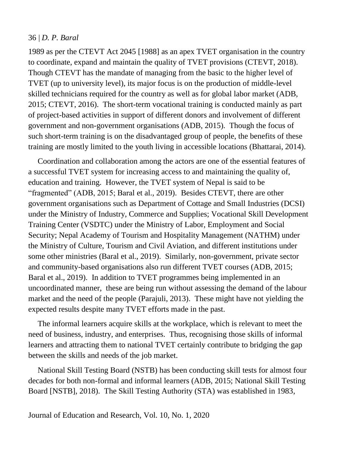1989 as per the CTEVT Act 2045 [1988] as an apex TVET organisation in the country to coordinate, expand and maintain the quality of TVET provisions (CTEVT, 2018). Though CTEVT has the mandate of managing from the basic to the higher level of TVET (up to university level), its major focus is on the production of middle-level skilled technicians required for the country as well as for global labor market (ADB, 2015; CTEVT, 2016). The short-term vocational training is conducted mainly as part of project-based activities in support of different donors and involvement of different government and non-government organisations (ADB, 2015). Though the focus of such short-term training is on the disadvantaged group of people, the benefits of these training are mostly limited to the youth living in accessible locations (Bhattarai, 2014).

Coordination and collaboration among the actors are one of the essential features of a successful TVET system for increasing access to and maintaining the quality of, education and training. However, the TVET system of Nepal is said to be "fragmented" (ADB, 2015; Baral et al., 2019). Besides CTEVT, there are other government organisations such as Department of Cottage and Small Industries (DCSI) under the Ministry of Industry, Commerce and Supplies; Vocational Skill Development Training Center (VSDTC) under the Ministry of Labor, Employment and Social Security; Nepal Academy of Tourism and Hospitality Management (NATHM) under the Ministry of Culture, Tourism and Civil Aviation, and different institutions under some other ministries (Baral et al., 2019). Similarly, non-government, private sector and community-based organisations also run different TVET courses (ADB, 2015; Baral et al., 2019). In addition to TVET programmes being implemented in an uncoordinated manner, these are being run without assessing the demand of the labour market and the need of the people (Parajuli, 2013). These might have not yielding the expected results despite many TVET efforts made in the past.

The informal learners acquire skills at the workplace, which is relevant to meet the need of business, industry, and enterprises. Thus, recognising those skills of informal learners and attracting them to national TVET certainly contribute to bridging the gap between the skills and needs of the job market.

National Skill Testing Board (NSTB) has been conducting skill tests for almost four decades for both non-formal and informal learners (ADB, 2015; National Skill Testing Board [NSTB], 2018). The Skill Testing Authority (STA) was established in 1983,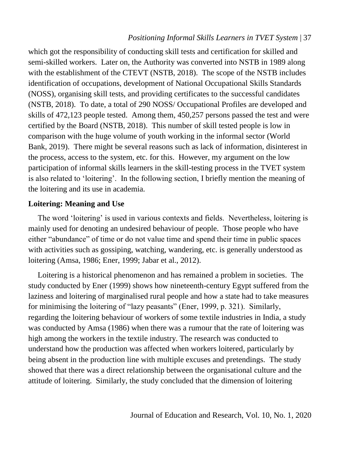which got the responsibility of conducting skill tests and certification for skilled and semi-skilled workers. Later on, the Authority was converted into NSTB in 1989 along with the establishment of the CTEVT (NSTB, 2018). The scope of the NSTB includes identification of occupations, development of National Occupational Skills Standards (NOSS), organising skill tests, and providing certificates to the successful candidates (NSTB, 2018). To date, a total of 290 NOSS/ Occupational Profiles are developed and skills of 472,123 people tested. Among them, 450,257 persons passed the test and were certified by the Board (NSTB, 2018). This number of skill tested people is low in comparison with the huge volume of youth working in the informal sector (World Bank, 2019). There might be several reasons such as lack of information, disinterest in the process, access to the system, etc. for this. However, my argument on the low participation of informal skills learners in the skill-testing process in the TVET system is also related to 'loitering'. In the following section, I briefly mention the meaning of the loitering and its use in academia.

#### **Loitering: Meaning and Use**

The word 'loitering' is used in various contexts and fields. Nevertheless, loitering is mainly used for denoting an undesired behaviour of people. Those people who have either "abundance" of time or do not value time and spend their time in public spaces with activities such as gossiping, watching, wandering, etc. is generally understood as loitering (Amsa, 1986; Ener, 1999; Jabar et al., 2012).

Loitering is a historical phenomenon and has remained a problem in societies. The study conducted by Ener (1999) shows how nineteenth-century Egypt suffered from the laziness and loitering of marginalised rural people and how a state had to take measures for minimising the loitering of "lazy peasants" (Ener, 1999, p. 321). Similarly, regarding the loitering behaviour of workers of some textile industries in India, a study was conducted by Amsa (1986) when there was a rumour that the rate of loitering was high among the workers in the textile industry. The research was conducted to understand how the production was affected when workers loitered, particularly by being absent in the production line with multiple excuses and pretendings. The study showed that there was a direct relationship between the organisational culture and the attitude of loitering. Similarly, the study concluded that the dimension of loitering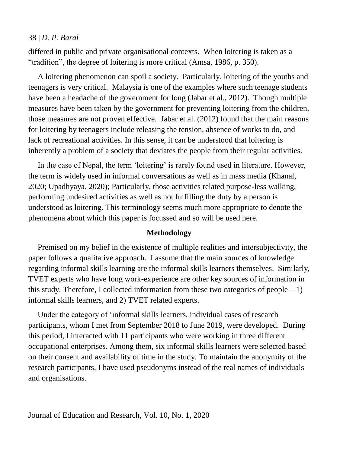differed in public and private organisational contexts. When loitering is taken as a "tradition", the degree of loitering is more critical (Amsa, 1986, p. 350).

A loitering phenomenon can spoil a society. Particularly, loitering of the youths and teenagers is very critical. Malaysia is one of the examples where such teenage students have been a headache of the government for long (Jabar et al., 2012). Though multiple measures have been taken by the government for preventing loitering from the children, those measures are not proven effective. Jabar et al. (2012) found that the main reasons for loitering by teenagers include releasing the tension, absence of works to do, and lack of recreational activities. In this sense, it can be understood that loitering is inherently a problem of a society that deviates the people from their regular activities.

In the case of Nepal, the term 'loitering' is rarely found used in literature. However, the term is widely used in informal conversations as well as in mass media (Khanal, 2020; Upadhyaya, 2020); Particularly, those activities related purpose-less walking, performing undesired activities as well as not fulfilling the duty by a person is understood as loitering. This terminology seems much more appropriate to denote the phenomena about which this paper is focussed and so will be used here.

#### **Methodology**

Premised on my belief in the existence of multiple realities and intersubjectivity, the paper follows a qualitative approach. I assume that the main sources of knowledge regarding informal skills learning are the informal skills learners themselves. Similarly, TVET experts who have long work-experience are other key sources of information in this study. Therefore, I collected information from these two categories of people—1) informal skills learners, and 2) TVET related experts.

Under the category of 'informal skills learners, individual cases of research participants, whom I met from September 2018 to June 2019, were developed. During this period, I interacted with 11 participants who were working in three different occupational enterprises. Among them, six informal skills learners were selected based on their consent and availability of time in the study. To maintain the anonymity of the research participants, I have used pseudonyms instead of the real names of individuals and organisations.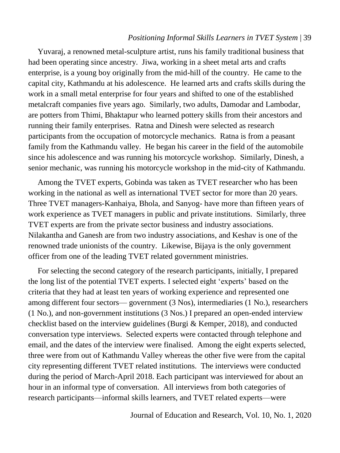Yuvaraj, a renowned metal-sculpture artist, runs his family traditional business that had been operating since ancestry. Jiwa, working in a sheet metal arts and crafts enterprise, is a young boy originally from the mid-hill of the country. He came to the capital city, Kathmandu at his adolescence. He learned arts and crafts skills during the work in a small metal enterprise for four years and shifted to one of the established metalcraft companies five years ago. Similarly, two adults, Damodar and Lambodar, are potters from Thimi, Bhaktapur who learned pottery skills from their ancestors and running their family enterprises. Ratna and Dinesh were selected as research participants from the occupation of motorcycle mechanics. Ratna is from a peasant family from the Kathmandu valley. He began his career in the field of the automobile since his adolescence and was running his motorcycle workshop. Similarly, Dinesh, a senior mechanic, was running his motorcycle workshop in the mid-city of Kathmandu.

Among the TVET experts, Gobinda was taken as TVET researcher who has been working in the national as well as international TVET sector for more than 20 years. Three TVET managers-Kanhaiya, Bhola, and Sanyog- have more than fifteen years of work experience as TVET managers in public and private institutions. Similarly, three TVET experts are from the private sector business and industry associations. Nilakantha and Ganesh are from two industry associations, and Keshav is one of the renowned trade unionists of the country. Likewise, Bijaya is the only government officer from one of the leading TVET related government ministries.

For selecting the second category of the research participants, initially, I prepared the long list of the potential TVET experts. I selected eight 'experts' based on the criteria that they had at least ten years of working experience and represented one among different four sectors— government (3 Nos), intermediaries (1 No.), researchers (1 No.), and non-government institutions (3 Nos.) I prepared an open-ended interview checklist based on the interview guidelines (Burgi  $\&$  Kemper, 2018), and conducted conversation type interviews. Selected experts were contacted through telephone and email, and the dates of the interview were finalised. Among the eight experts selected, three were from out of Kathmandu Valley whereas the other five were from the capital city representing different TVET related institutions. The interviews were conducted during the period of March-April 2018. Each participant was interviewed for about an hour in an informal type of conversation. All interviews from both categories of research participants—informal skills learners, and TVET related experts—were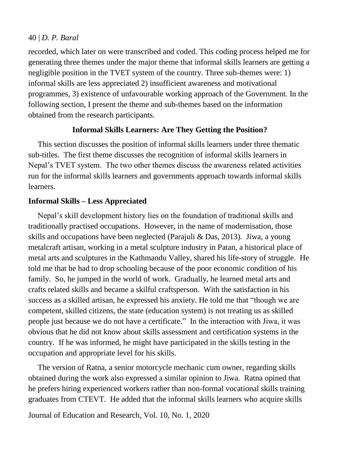recorded, which later on were transcribed and coded. This coding process helped me for generating three themes under the major theme that informal skills learners are getting a negligible position in the TVET system of the country. Three sub-themes were: 1) informal skills are less appreciated 2) insufficient awareness and motivational programmes, 3) existence of unfavourable working approach of the Government. In the following section, I present the theme and sub-themes based on the information obtained from the research participants.

## **Informal Skills Learners: Are They Getting the Position?**

This section discusses the position of informal skills learners under three thematic sub-titles. The first theme discusses the recognition of informal skills learners in Nepal's TVET system. The two other themes discuss the awareness related activities run for the informal skills learners and governments approach towards informal skills learners.

# **Informal Skills – Less Appreciated**

Nepal's skill development history lies on the foundation of traditional skills and traditionally practised occupations. However, in the name of modernisation, those skills and occupations have been neglected (Parajuli & Das, 2013). Jiwa, a young metalcraft artisan, working in a metal sculpture industry in Patan, a historical place of metal arts and sculptures in the Kathmandu Valley, shared his life-story of struggle. He told me that he had to drop schooling because of the poor economic condition of his family. So, he jumped in the world of work. Gradually, he learned metal arts and crafts related skills and became a skilful craftsperson. With the satisfaction in his success as a skilled artisan, he expressed his anxiety. He told me that "though we are competent, skilled citizens, the state (education system) is not treating us as skilled people just because we do not have a certificate." In the interaction with Jiwa, it was obvious that he did not know about skills assessment and certification systems in the country. If he was informed, he might have participated in the skills testing in the occupation and appropriate level for his skills.

The version of Ratna, a senior motorcycle mechanic cum owner, regarding skills obtained during the work also expressed a similar opinion to Jiwa. Ratna opined that he prefers hiring experienced workers rather than non-formal vocational skills training graduates from CTEVT. He added that the informal skills learners who acquire skills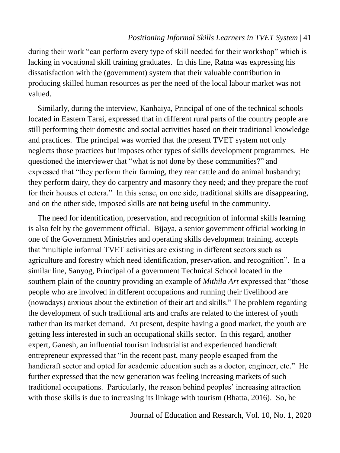during their work "can perform every type of skill needed for their workshop" which is lacking in vocational skill training graduates. In this line, Ratna was expressing his dissatisfaction with the (government) system that their valuable contribution in producing skilled human resources as per the need of the local labour market was not valued.

Similarly, during the interview, Kanhaiya, Principal of one of the technical schools located in Eastern Tarai, expressed that in different rural parts of the country people are still performing their domestic and social activities based on their traditional knowledge and practices. The principal was worried that the present TVET system not only neglects those practices but imposes other types of skills development programmes. He questioned the interviewer that "what is not done by these communities?" and expressed that "they perform their farming, they rear cattle and do animal husbandry; they perform dairy, they do carpentry and masonry they need; and they prepare the roof for their houses et cetera." In this sense, on one side, traditional skills are disappearing, and on the other side, imposed skills are not being useful in the community.

The need for identification, preservation, and recognition of informal skills learning is also felt by the government official. Bijaya, a senior government official working in one of the Government Ministries and operating skills development training, accepts that "multiple informal TVET activities are existing in different sectors such as agriculture and forestry which need identification, preservation, and recognition". In a similar line, Sanyog, Principal of a government Technical School located in the southern plain of the country providing an example of *Mithila Art* expressed that "those people who are involved in different occupations and running their livelihood are (nowadays) anxious about the extinction of their art and skills." The problem regarding the development of such traditional arts and crafts are related to the interest of youth rather than its market demand. At present, despite having a good market, the youth are getting less interested in such an occupational skills sector. In this regard, another expert, Ganesh, an influential tourism industrialist and experienced handicraft entrepreneur expressed that "in the recent past, many people escaped from the handicraft sector and opted for academic education such as a doctor, engineer, etc." He further expressed that the new generation was feeling increasing markets of such traditional occupations. Particularly, the reason behind peoples' increasing attraction with those skills is due to increasing its linkage with tourism (Bhatta, 2016). So, he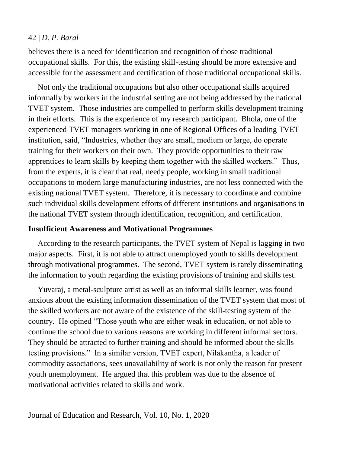believes there is a need for identification and recognition of those traditional occupational skills. For this, the existing skill-testing should be more extensive and accessible for the assessment and certification of those traditional occupational skills.

Not only the traditional occupations but also other occupational skills acquired informally by workers in the industrial setting are not being addressed by the national TVET system. Those industries are compelled to perform skills development training in their efforts. This is the experience of my research participant. Bhola, one of the experienced TVET managers working in one of Regional Offices of a leading TVET institution, said, "Industries, whether they are small, medium or large, do operate training for their workers on their own. They provide opportunities to their raw apprentices to learn skills by keeping them together with the skilled workers." Thus, from the experts, it is clear that real, needy people, working in small traditional occupations to modern large manufacturing industries, are not less connected with the existing national TVET system. Therefore, it is necessary to coordinate and combine such individual skills development efforts of different institutions and organisations in the national TVET system through identification, recognition, and certification.

## **Insufficient Awareness and Motivational Programmes**

According to the research participants, the TVET system of Nepal is lagging in two major aspects. First, it is not able to attract unemployed youth to skills development through motivational programmes. The second, TVET system is rarely disseminating the information to youth regarding the existing provisions of training and skills test.

Yuvaraj, a metal-sculpture artist as well as an informal skills learner, was found anxious about the existing information dissemination of the TVET system that most of the skilled workers are not aware of the existence of the skill-testing system of the country. He opined "Those youth who are either weak in education, or not able to continue the school due to various reasons are working in different informal sectors. They should be attracted to further training and should be informed about the skills testing provisions." In a similar version, TVET expert, Nilakantha, a leader of commodity associations, sees unavailability of work is not only the reason for present youth unemployment. He argued that this problem was due to the absence of motivational activities related to skills and work.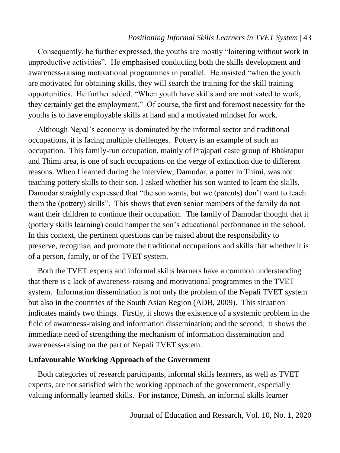Consequently, he further expressed, the youths are mostly "loitering without work in unproductive activities". He emphasised conducting both the skills development and awareness-raising motivational programmes in parallel. He insisted "when the youth are motivated for obtaining skills, they will search the training for the skill training opportunities. He further added, "When youth have skills and are motivated to work, they certainly get the employment.‖ Of course, the first and foremost necessity for the youths is to have employable skills at hand and a motivated mindset for work.

Although Nepal's economy is dominated by the informal sector and traditional occupations, it is facing multiple challenges. Pottery is an example of such an occupation. This family-run occupation, mainly of Prajapati caste group of Bhaktapur and Thimi area, is one of such occupations on the verge of extinction due to different reasons. When I learned during the interview, Damodar, a potter in Thimi, was not teaching pottery skills to their son. I asked whether his son wanted to learn the skills. Damodar straightly expressed that "the son wants, but we (parents) don't want to teach them the (pottery) skills". This shows that even senior members of the family do not want their children to continue their occupation. The family of Damodar thought that it (pottery skills learning) could hamper the son's educational performance in the school. In this context, the pertinent questions can be raised about the responsibility to preserve, recognise, and promote the traditional occupations and skills that whether it is of a person, family, or of the TVET system.

Both the TVET experts and informal skills learners have a common understanding that there is a lack of awareness-raising and motivational programmes in the TVET system. Information dissemination is not only the problem of the Nepali TVET system but also in the countries of the South Asian Region (ADB, 2009). This situation indicates mainly two things. Firstly, it shows the existence of a systemic problem in the field of awareness-raising and information dissemination; and the second, it shows the immediate need of strengthing the mechanism of information dissemination and awareness-raising on the part of Nepali TVET system.

#### **Unfavourable Working Approach of the Government**

Both categories of research participants, informal skills learners, as well as TVET experts, are not satisfied with the working approach of the government, especially valuing informally learned skills. For instance, Dinesh, an informal skills learner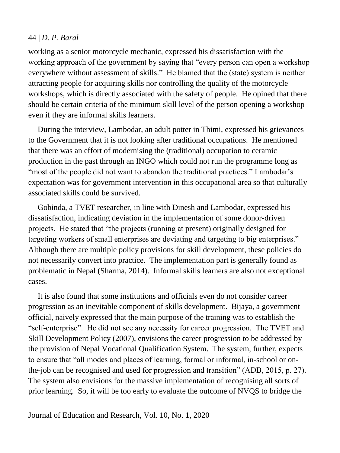working as a senior motorcycle mechanic, expressed his dissatisfaction with the working approach of the government by saying that "every person can open a workshop" everywhere without assessment of skills." He blamed that the (state) system is neither attracting people for acquiring skills nor controlling the quality of the motorcycle workshops, which is directly associated with the safety of people. He opined that there should be certain criteria of the minimum skill level of the person opening a workshop even if they are informal skills learners.

During the interview, Lambodar, an adult potter in Thimi, expressed his grievances to the Government that it is not looking after traditional occupations. He mentioned that there was an effort of modernising the (traditional) occupation to ceramic production in the past through an INGO which could not run the programme long as "most of the people did not want to abandon the traditional practices." Lambodar's expectation was for government intervention in this occupational area so that culturally associated skills could be survived.

Gobinda, a TVET researcher, in line with Dinesh and Lambodar, expressed his dissatisfaction, indicating deviation in the implementation of some donor-driven projects. He stated that "the projects (running at present) originally designed for targeting workers of small enterprises are deviating and targeting to big enterprises." Although there are multiple policy provisions for skill development, these policies do not necessarily convert into practice. The implementation part is generally found as problematic in Nepal (Sharma, 2014). Informal skills learners are also not exceptional cases.

It is also found that some institutions and officials even do not consider career progression as an inevitable component of skills development. Bijaya, a government official, naively expressed that the main purpose of the training was to establish the "self-enterprise". He did not see any necessity for career progression. The TVET and Skill Development Policy (2007), envisions the career progression to be addressed by the provision of Nepal Vocational Qualification System. The system, further, expects to ensure that "all modes and places of learning, formal or informal, in-school or onthe-job can be recognised and used for progression and transition" (ADB, 2015, p. 27). The system also envisions for the massive implementation of recognising all sorts of prior learning. So, it will be too early to evaluate the outcome of NVQS to bridge the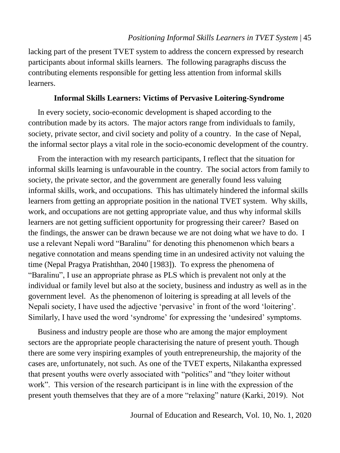lacking part of the present TVET system to address the concern expressed by research participants about informal skills learners. The following paragraphs discuss the contributing elements responsible for getting less attention from informal skills learners.

## **Informal Skills Learners: Victims of Pervasive Loitering-Syndrome**

In every society, socio-economic development is shaped according to the contribution made by its actors. The major actors range from individuals to family, society, private sector, and civil society and polity of a country. In the case of Nepal, the informal sector plays a vital role in the socio-economic development of the country.

From the interaction with my research participants, I reflect that the situation for informal skills learning is unfavourable in the country. The social actors from family to society, the private sector, and the government are generally found less valuing informal skills, work, and occupations. This has ultimately hindered the informal skills learners from getting an appropriate position in the national TVET system. Why skills, work, and occupations are not getting appropriate value, and thus why informal skills learners are not getting sufficient opportunity for progressing their career? Based on the findings, the answer can be drawn because we are not doing what we have to do. I use a relevant Nepali word "Baralinu" for denoting this phenomenon which bears a negative connotation and means spending time in an undesired activity not valuing the time (Nepal Pragya Pratishthan, 2040 [1983]). To express the phenomena of "Baralinu", I use an appropriate phrase as PLS which is prevalent not only at the individual or family level but also at the society, business and industry as well as in the government level. As the phenomenon of loitering is spreading at all levels of the Nepali society, I have used the adjective 'pervasive' in front of the word 'loitering'. Similarly, I have used the word 'syndrome' for expressing the 'undesired' symptoms.

Business and industry people are those who are among the major employment sectors are the appropriate people characterising the nature of present youth. Though there are some very inspiring examples of youth entrepreneurship, the majority of the cases are, unfortunately, not such. As one of the TVET experts, Nilakantha expressed that present youths were overly associated with "politics" and "they loiter without work". This version of the research participant is in line with the expression of the present youth themselves that they are of a more "relaxing" nature (Karki, 2019). Not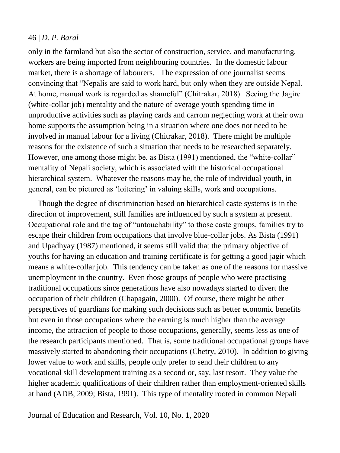only in the farmland but also the sector of construction, service, and manufacturing, workers are being imported from neighbouring countries. In the domestic labour market, there is a shortage of labourers. The expression of one journalist seems convincing that "Nepalis are said to work hard, but only when they are outside Nepal. At home, manual work is regarded as shameful" (Chitrakar, 2018). Seeing the Jagire (white-collar job) mentality and the nature of average youth spending time in unproductive activities such as playing cards and carrom neglecting work at their own home supports the assumption being in a situation where one does not need to be involved in manual labour for a living (Chitrakar, 2018). There might be multiple reasons for the existence of such a situation that needs to be researched separately. However, one among those might be, as Bista (1991) mentioned, the "white-collar" mentality of Nepali society, which is associated with the historical occupational hierarchical system. Whatever the reasons may be, the role of individual youth, in general, can be pictured as 'loitering' in valuing skills, work and occupations.

Though the degree of discrimination based on hierarchical caste systems is in the direction of improvement, still families are influenced by such a system at present. Occupational role and the tag of "untouchability" to those caste groups, families try to escape their children from occupations that involve blue-collar jobs. As Bista (1991) and Upadhyay (1987) mentioned, it seems still valid that the primary objective of youths for having an education and training certificate is for getting a good jagir which means a white-collar job. This tendency can be taken as one of the reasons for massive unemployment in the country. Even those groups of people who were practising traditional occupations since generations have also nowadays started to divert the occupation of their children (Chapagain, 2000). Of course, there might be other perspectives of guardians for making such decisions such as better economic benefits but even in those occupations where the earning is much higher than the average income, the attraction of people to those occupations, generally, seems less as one of the research participants mentioned. That is, some traditional occupational groups have massively started to abandoning their occupations (Chetry, 2010). In addition to giving lower value to work and skills, people only prefer to send their children to any vocational skill development training as a second or, say, last resort. They value the higher academic qualifications of their children rather than employment-oriented skills at hand (ADB, 2009; Bista, 1991). This type of mentality rooted in common Nepali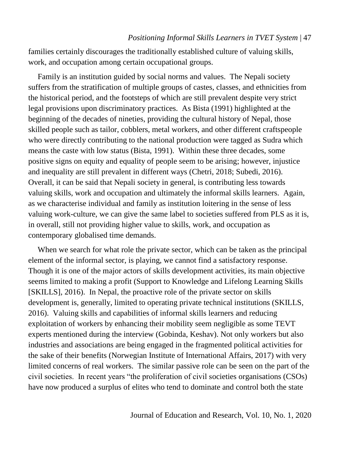families certainly discourages the traditionally established culture of valuing skills, work, and occupation among certain occupational groups.

Family is an institution guided by social norms and values. The Nepali society suffers from the stratification of multiple groups of castes, classes, and ethnicities from the historical period, and the footsteps of which are still prevalent despite very strict legal provisions upon discriminatory practices. As Bista (1991) highlighted at the beginning of the decades of nineties, providing the cultural history of Nepal, those skilled people such as tailor, cobblers, metal workers, and other different craftspeople who were directly contributing to the national production were tagged as Sudra which means the caste with low status (Bista, 1991). Within these three decades, some positive signs on equity and equality of people seem to be arising; however, injustice and inequality are still prevalent in different ways (Chetri, 2018; Subedi, 2016). Overall, it can be said that Nepali society in general, is contributing less towards valuing skills, work and occupation and ultimately the informal skills learners. Again, as we characterise individual and family as institution loitering in the sense of less valuing work-culture, we can give the same label to societies suffered from PLS as it is, in overall, still not providing higher value to skills, work, and occupation as contemporary globalised time demands.

When we search for what role the private sector, which can be taken as the principal element of the informal sector, is playing, we cannot find a satisfactory response. Though it is one of the major actors of skills development activities, its main objective seems limited to making a profit (Support to Knowledge and Lifelong Learning Skills [SKILLS], 2016). In Nepal, the proactive role of the private sector on skills development is, generally, limited to operating private technical institutions (SKILLS, 2016). Valuing skills and capabilities of informal skills learners and reducing exploitation of workers by enhancing their mobility seem negligible as some TEVT experts mentioned during the interview (Gobinda, Keshav). Not only workers but also industries and associations are being engaged in the fragmented political activities for the sake of their benefits (Norwegian Institute of International Affairs, 2017) with very limited concerns of real workers. The similar passive role can be seen on the part of the civil societies. In recent years "the proliferation of civil societies organisations (CSOs) have now produced a surplus of elites who tend to dominate and control both the state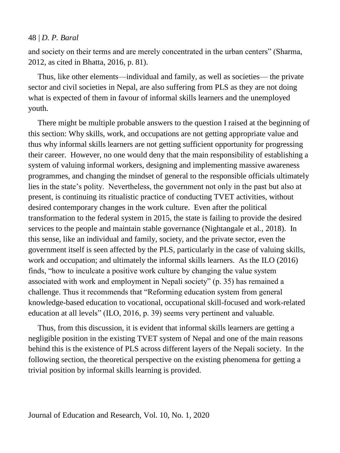and society on their terms and are merely concentrated in the urban centers" (Sharma, 2012, as cited in Bhatta, 2016, p. 81).

Thus, like other elements—individual and family, as well as societies— the private sector and civil societies in Nepal, are also suffering from PLS as they are not doing what is expected of them in favour of informal skills learners and the unemployed youth.

There might be multiple probable answers to the question I raised at the beginning of this section: Why skills, work, and occupations are not getting appropriate value and thus why informal skills learners are not getting sufficient opportunity for progressing their career. However, no one would deny that the main responsibility of establishing a system of valuing informal workers, designing and implementing massive awareness programmes, and changing the mindset of general to the responsible officials ultimately lies in the state's polity. Nevertheless, the government not only in the past but also at present, is continuing its ritualistic practice of conducting TVET activities, without desired contemporary changes in the work culture. Even after the political transformation to the federal system in 2015, the state is failing to provide the desired services to the people and maintain stable governance (Nightangale et al., 2018). In this sense, like an individual and family, society, and the private sector, even the government itself is seen affected by the PLS, particularly in the case of valuing skills, work and occupation; and ultimately the informal skills learners. As the ILO (2016) finds, "how to inculcate a positive work culture by changing the value system associated with work and employment in Nepali society" (p. 35) has remained a challenge. Thus it recommends that "Reforming education system from general knowledge-based education to vocational, occupational skill-focused and work-related education at all levels" (ILO, 2016, p. 39) seems very pertinent and valuable.

Thus, from this discussion, it is evident that informal skills learners are getting a negligible position in the existing TVET system of Nepal and one of the main reasons behind this is the existence of PLS across different layers of the Nepali society. In the following section, the theoretical perspective on the existing phenomena for getting a trivial position by informal skills learning is provided.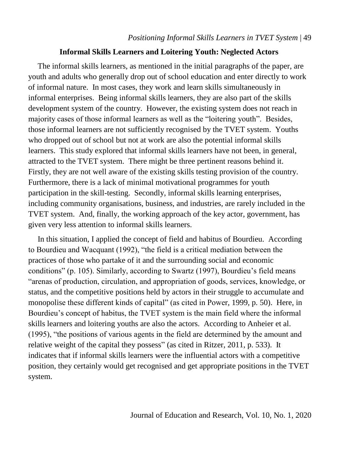### **Informal Skills Learners and Loitering Youth: Neglected Actors**

The informal skills learners, as mentioned in the initial paragraphs of the paper, are youth and adults who generally drop out of school education and enter directly to work of informal nature. In most cases, they work and learn skills simultaneously in informal enterprises. Being informal skills learners, they are also part of the skills development system of the country. However, the existing system does not reach in majority cases of those informal learners as well as the "loitering youth". Besides, those informal learners are not sufficiently recognised by the TVET system. Youths who dropped out of school but not at work are also the potential informal skills learners. This study explored that informal skills learners have not been, in general, attracted to the TVET system. There might be three pertinent reasons behind it. Firstly, they are not well aware of the existing skills testing provision of the country. Furthermore, there is a lack of minimal motivational programmes for youth participation in the skill-testing. Secondly, informal skills learning enterprises, including community organisations, business, and industries, are rarely included in the TVET system. And, finally, the working approach of the key actor, government, has given very less attention to informal skills learners.

In this situation, I applied the concept of field and habitus of Bourdieu. According to Bourdieu and Wacquant (1992), "the field is a critical mediation between the practices of those who partake of it and the surrounding social and economic conditions" (p. 105). Similarly, according to Swartz (1997), Bourdieu's field means ―arenas of production, circulation, and appropriation of goods, services, knowledge, or status, and the competitive positions held by actors in their struggle to accumulate and monopolise these different kinds of capital" (as cited in Power, 1999, p. 50). Here, in Bourdieu's concept of habitus, the TVET system is the main field where the informal skills learners and loitering youths are also the actors. According to Anheier et al. (1995), "the positions of various agents in the field are determined by the amount and relative weight of the capital they possess" (as cited in Ritzer, 2011, p. 533). It indicates that if informal skills learners were the influential actors with a competitive position, they certainly would get recognised and get appropriate positions in the TVET system.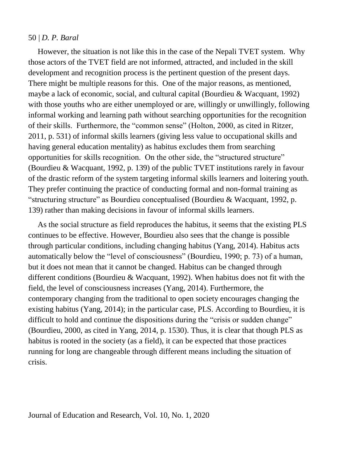However, the situation is not like this in the case of the Nepali TVET system. Why those actors of the TVET field are not informed, attracted, and included in the skill development and recognition process is the pertinent question of the present days. There might be multiple reasons for this. One of the major reasons, as mentioned, maybe a lack of economic, social, and cultural capital (Bourdieu & Wacquant, 1992) with those youths who are either unemployed or are, willingly or unwillingly, following informal working and learning path without searching opportunities for the recognition of their skills. Furthermore, the "common sense" (Holton, 2000, as cited in Ritzer, 2011, p. 531) of informal skills learners (giving less value to occupational skills and having general education mentality) as habitus excludes them from searching opportunities for skills recognition. On the other side, the "structured structure" (Bourdieu & Wacquant, 1992, p. 139) of the public TVET institutions rarely in favour of the drastic reform of the system targeting informal skills learners and loitering youth. They prefer continuing the practice of conducting formal and non-formal training as "structuring structure" as Bourdieu conceptualised (Bourdieu & Wacquant, 1992, p. 139) rather than making decisions in favour of informal skills learners.

As the social structure as field reproduces the habitus, it seems that the existing PLS continues to be effective. However, Bourdieu also sees that the change is possible through particular conditions, including changing habitus (Yang, 2014). Habitus acts automatically below the "level of consciousness" (Bourdieu, 1990; p. 73) of a human, but it does not mean that it cannot be changed. Habitus can be changed through different conditions (Bourdieu & Wacquant, 1992). When habitus does not fit with the field, the level of consciousness increases (Yang, 2014). Furthermore, the contemporary changing from the traditional to open society encourages changing the existing habitus (Yang, 2014); in the particular case, PLS. According to Bourdieu, it is difficult to hold and continue the dispositions during the "crisis or sudden change" (Bourdieu, 2000, as cited in Yang, 2014, p. 1530). Thus, it is clear that though PLS as habitus is rooted in the society (as a field), it can be expected that those practices running for long are changeable through different means including the situation of crisis.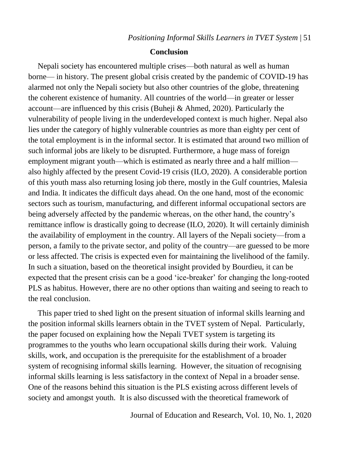#### **Conclusion**

Nepali society has encountered multiple crises—both natural as well as human borne— in history. The present global crisis created by the pandemic of COVID-19 has alarmed not only the Nepali society but also other countries of the globe, threatening the coherent existence of humanity. All countries of the world—in greater or lesser account—are influenced by this crisis (Buheji & Ahmed, 2020). Particularly the vulnerability of people living in the underdeveloped context is much higher. Nepal also lies under the category of highly vulnerable countries as more than eighty per cent of the total employment is in the informal sector. It is estimated that around two million of such informal jobs are likely to be disrupted. Furthermore, a huge mass of foreign employment migrant youth—which is estimated as nearly three and a half million also highly affected by the present Covid-19 crisis (ILO, 2020). A considerable portion of this youth mass also returning losing job there, mostly in the Gulf countries, Malesia and India. It indicates the difficult days ahead. On the one hand, most of the economic sectors such as tourism, manufacturing, and different informal occupational sectors are being adversely affected by the pandemic whereas, on the other hand, the country's remittance inflow is drastically going to decrease (ILO, 2020). It will certainly diminish the availability of employment in the country. All layers of the Nepali society—from a person, a family to the private sector, and polity of the country—are guessed to be more or less affected. The crisis is expected even for maintaining the livelihood of the family. In such a situation, based on the theoretical insight provided by Bourdieu, it can be expected that the present crisis can be a good 'ice-breaker' for changing the long-rooted PLS as habitus. However, there are no other options than waiting and seeing to reach to the real conclusion.

This paper tried to shed light on the present situation of informal skills learning and the position informal skills learners obtain in the TVET system of Nepal. Particularly, the paper focused on explaining how the Nepali TVET system is targeting its programmes to the youths who learn occupational skills during their work. Valuing skills, work, and occupation is the prerequisite for the establishment of a broader system of recognising informal skills learning. However, the situation of recognising informal skills learning is less satisfactory in the context of Nepal in a broader sense. One of the reasons behind this situation is the PLS existing across different levels of society and amongst youth. It is also discussed with the theoretical framework of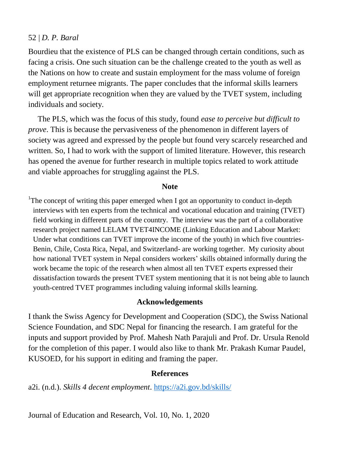Bourdieu that the existence of PLS can be changed through certain conditions, such as facing a crisis. One such situation can be the challenge created to the youth as well as the Nations on how to create and sustain employment for the mass volume of foreign employment returnee migrants. The paper concludes that the informal skills learners will get appropriate recognition when they are valued by the TVET system, including individuals and society.

The PLS, which was the focus of this study, found *ease to perceive but difficult to prove*. This is because the pervasiveness of the phenomenon in different layers of society was agreed and expressed by the people but found very scarcely researched and written. So, I had to work with the support of limited literature. However, this research has opened the avenue for further research in multiple topics related to work attitude and viable approaches for struggling against the PLS.

## **Note**

<sup>1</sup>The concept of writing this paper emerged when I got an opportunity to conduct in-depth interviews with ten experts from the technical and vocational education and training (TVET) field working in different parts of the country. The interview was the part of a collaborative research project named LELAM TVET4INCOME (Linking Education and Labour Market: Under what conditions can TVET improve the income of the youth) in which five countries-Benin, Chile, Costa Rica, Nepal, and Switzerland- are working together. My curiosity about how national TVET system in Nepal considers workers' skills obtained informally during the work became the topic of the research when almost all ten TVET experts expressed their dissatisfaction towards the present TVET system mentioning that it is not being able to launch youth-centred TVET programmes including valuing informal skills learning.

## **Acknowledgements**

I thank the Swiss Agency for Development and Cooperation (SDC), the Swiss National Science Foundation, and SDC Nepal for financing the research. I am grateful for the inputs and support provided by Prof. Mahesh Nath Parajuli and Prof. Dr. Ursula Renold for the completion of this paper. I would also like to thank Mr. Prakash Kumar Paudel, KUSOED, for his support in editing and framing the paper.

## **References**

a2i. (n.d.). *Skills 4 decent employment*.<https://a2i.gov.bd/skills/>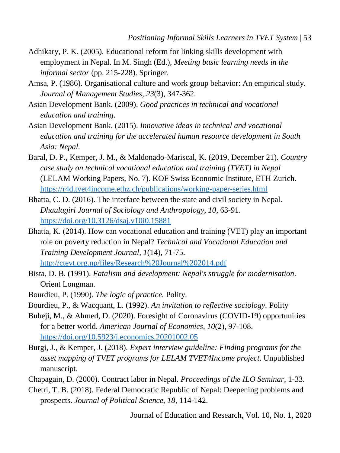- Adhikary, P. K. (2005). Educational reform for linking skills development with employment in Nepal. In M. Singh (Ed.), *Meeting basic learning needs in the informal sector* (pp. 215-228). Springer.
- Amsa, P. (1986). Organisational culture and work group behavior: An empirical study. *Journal of Management Studies, 23*(3), 347-362.
- Asian Development Bank. (2009). *Good practices in technical and vocational education and training*.
- Asian Development Bank. (2015). *Innovative ideas in technical and vocational education and training for the accelerated human resource development in South Asia: Nepal.*
- Baral, D. P., Kemper, J. M., & Maldonado-Mariscal, K. (2019, December 21). *Country case study on technical vocational education and training (TVET) in Nepal* (LELAM Working Papers, No. 7). KOF Swiss Economic Institute, ETH Zurich. <https://r4d.tvet4income.ethz.ch/publications/working-paper-series.html>
- Bhatta, C. D. (2016). The interface between the state and civil society in Nepal. *Dhaulagiri Journal of Sociology and Anthropology, 10*, 63-91. <https://doi.org/10.3126/dsaj.v10i0.15881>
- Bhatta, K. (2014). How can vocational education and training (VET) play an important role on poverty reduction in Nepal? *Technical and Vocational Education and Training Development Journal, 1*(14), 71-75. <http://ctevt.org.np/files/Research%20Journal%202014.pdf>
- Bista, D. B. (1991). *Fatalism and development: Nepal's struggle for modernisation*. Orient Longman.
- Bourdieu, P. (1990). *The logic of practice.* Polity.
- Bourdieu, P., & Wacquant, L. (1992). *An invitation to reflective sociology.* Polity
- Buheji, M., & Ahmed, D. (2020). Foresight of Coronavirus (COVID-19) opportunities for a better world. *American Journal of Economics, 10*(2), 97-108. <https://doi.org/10.5923/j.economics.20201002.05>
- Burgi, J., & Kemper, J. (2018). *Expert interview guideline: Finding programs for the asset mapping of TVET programs for LELAM TVET4Income project*. Unpublished manuscript.
- Chapagain, D. (2000). Contract labor in Nepal. *Proceedings of the ILO Seminar*, 1-33.
- Chetri, T. B. (2018). Federal Democratic Republic of Nepal: Deepening problems and prospects. *Journal of Political Science, 18*, 114-142.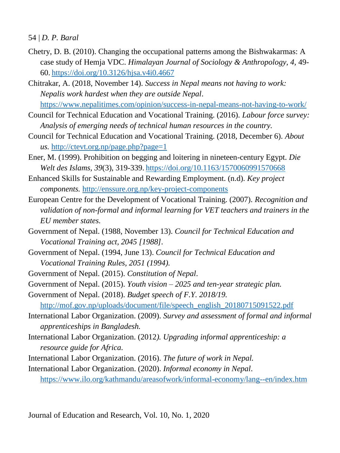- Chetry, D. B. (2010). Changing the occupational patterns among the Bishwakarmas: A case study of Hemja VDC. *Himalayan Journal of Sociology & Anthropology, 4,* 49- 60. <https://doi.org/10.3126/hjsa.v4i0.4667>
- Chitrakar, A. (2018, November 14). *Success in Nepal means not having to work: Nepalis work hardest when they are outside Nepal*. <https://www.nepalitimes.com/opinion/success-in-nepal-means-not-having-to-work/>
- Council for Technical Education and Vocational Training. (2016). *Labour force survey: Analysis of emerging needs of technical human resources in the country.*
- Council for Technical Education and Vocational Training. (2018, December 6). *About us.* <http://ctevt.org.np/page.php?page=1>
- Ener, M. (1999). Prohibition on begging and loitering in nineteen-century Egypt. *Die Welt des Islams, 39*(3), 319-339. <https://doi.org/10.1163/1570060991570668>
- Enhanced Skills for Sustainable and Rewarding Employment. (n.d). *Key project components.* <http://enssure.org.np/key-project-components>
- European Centre for the Development of Vocational Training. (2007). *Recognition and validation of non-formal and informal learning for VET teachers and trainers in the EU member states.*
- Government of Nepal. (1988, November 13). *Council for Technical Education and Vocational Training act, 2045 [1988].*
- Government of Nepal. (1994, June 13). *Council for Technical Education and Vocational Training Rules, 2051 (1994).*
- Government of Nepal. (2015). *Constitution of Nepal*.
- Government of Nepal. (2015). *Youth vision – 2025 and ten-year strategic plan.*
- Government of Nepal. (2018). *Budget speech of F.Y. 2018/19.* [http://mof.gov.np/uploads/document/file/speech\\_english\\_20180715091522.pdf](http://mof.gov.np/uploads/document/file/speech_english_20180715091522.pdf)
- International Labor Organization. (2009). *Survey and assessment of formal and informal apprenticeships in Bangladesh.*
- International Labor Organization. (2012*). Upgrading informal apprenticeship: a resource guide for Africa.*
- International Labor Organization. (2016). *The future of work in Nepal.*
- International Labor Organization. (2020). *Informal economy in Nepal*.

<https://www.ilo.org/kathmandu/areasofwork/informal-economy/lang--en/index.htm>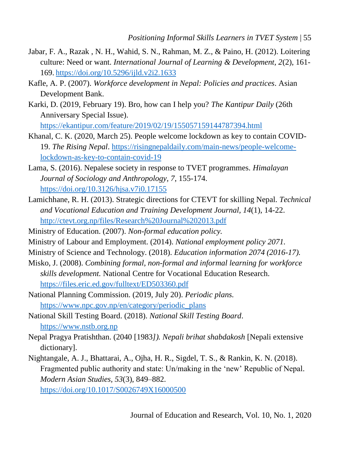- Jabar, F. A., Razak , N. H., Wahid, S. N., Rahman, M. Z., & Paino, H. (2012). Loitering culture: Need or want. *International Journal of Learning & Development, 2*(2), 161- 169. <https://doi.org/10.5296/ijld.v2i2.1633>
- Kafle, A. P. (2007). *Workforce development in Nepal: Policies and practices*. Asian Development Bank.
- Karki, D. (2019, February 19). Bro, how can I help you? *The Kantipur Daily* (26th Anniversary Special Issue).

<https://ekantipur.com/feature/2019/02/19/155057159144787394.html>

- Khanal, C. K. (2020, March 25). People welcome lockdown as key to contain COVID-19. *The Rising Nepal*. [https://risingnepaldaily.com/main-news/people-welcome](https://risingnepaldaily.com/main-news/people-welcome-lockdown-as-key-to-contain-covid-19)[lockdown-as-key-to-contain-covid-19](https://risingnepaldaily.com/main-news/people-welcome-lockdown-as-key-to-contain-covid-19)
- Lama, S. (2016). Nepalese society in response to TVET programmes. *Himalayan Journal of Sociology and Anthropology, 7*, 155-174. <https://doi.org/10.3126/hjsa.v7i0.17155>
- Lamichhane, R. H. (2013). Strategic directions for CTEVT for skilling Nepal. *Technical and Vocational Education and Training Development Journal, 14*(1), 14-22. <http://ctevt.org.np/files/Research%20Journal%202013.pdf>

Ministry of Education. (2007). *Non-formal education policy.*

- Ministry of Labour and Employment. (2014). *National employment policy 2071.*
- Ministry of Science and Technology. (2018). *Education information 2074 (2016-17).*
- Misko, J. (2008). *Combining formal, non-formal and informal learning for workforce skills development.* National Centre for Vocational Education Research. <https://files.eric.ed.gov/fulltext/ED503360.pdf>
- National Planning Commission. (2019, July 20). *Periodic plans.* [https://www.npc.gov.np/en/category/periodic\\_plans](https://www.npc.gov.np/en/category/periodic_plans)
- National Skill Testing Board. (2018). *National Skill Testing Board*. [https://www.nstb.org.np](https://www.nstb.org.np/)
- Nepal Pragya Pratishthan. (2040 [1983*]). Nepali brihat shabdakosh* [Nepali extensive dictionary].
- Nightangale, A. J., Bhattarai, A., Ojha, H. R., Sigdel, T. S., & Rankin, K. N. (2018). Fragmented public authority and state: Un/making in the 'new' Republic of Nepal. *Modern Asian Studies, 53*(3), 849–882.

<https://doi.org/10.1017/S0026749X16000500>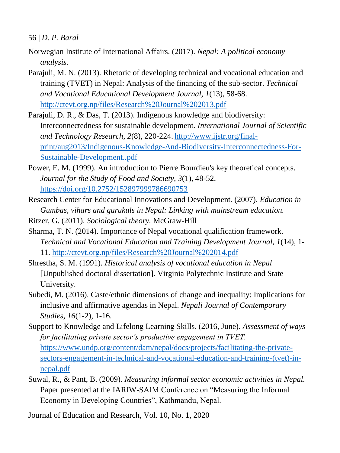- Norwegian Institute of International Affairs. (2017). *Nepal: A political economy analysis.*
- Parajuli, M. N. (2013). Rhetoric of developing technical and vocational education and training (TVET) in Nepal: Analysis of the financing of the sub-sector. *Technical and Vocational Educational Development Journal, 1*(13), 58-68. <http://ctevt.org.np/files/Research%20Journal%202013.pdf>
- Parajuli, D. R., & Das, T. (2013). Indigenous knowledge and biodiversity: Interconnectedness for sustainable development. *International Journal of Scientific and Technology Research, 2*(8), 220-224. [http://www.ijstr.org/final](http://www.ijstr.org/final-print/aug2013/Indigenous-Knowledge-And-Biodiversity-Interconnectedness-For-Sustainable-Development..pdf)[print/aug2013/Indigenous-Knowledge-And-Biodiversity-Interconnectedness-For-](http://www.ijstr.org/final-print/aug2013/Indigenous-Knowledge-And-Biodiversity-Interconnectedness-For-Sustainable-Development..pdf)[Sustainable-Development..pdf](http://www.ijstr.org/final-print/aug2013/Indigenous-Knowledge-And-Biodiversity-Interconnectedness-For-Sustainable-Development..pdf)
- Power, E. M. (1999). An introduction to Pierre Bourdieu's key theoretical concepts. *Journal for the Study of Food and Society, 3*(1), 48-52. <https://doi.org/10.2752/152897999786690753>
- Research Center for Educational Innovations and Development. (2007). *Education in Gumbas, vihars and gurukuls in Nepal: Linking with mainstream education.*
- Ritzer, G. (2011). *Sociological theory.* McGraw-Hill
- Sharma, T. N. (2014). Importance of Nepal vocational qualification framework. *Technical and Vocational Education and Training Development Journal, 1*(14), 1- 11.<http://ctevt.org.np/files/Research%20Journal%202014.pdf>
- Shrestha, S. M. (1991). *Historical analysis of vocational education in Nepal* [Unpublished doctoral dissertation]. Virginia Polytechnic Institute and State University.
- Subedi, M. (2016). Caste/ethnic dimensions of change and inequality: Implications for inclusive and affirmative agendas in Nepal. *Nepali Journal of Contemporary Studies, 16*(1-2), 1-16.
- Support to Knowledge and Lifelong Learning Skills. (2016, June). *Assessment of ways for facilitating private sector's productive engagement in TVET.* [https://www.undp.org/content/dam/nepal/docs/projects/facilitating-the-private](https://www.undp.org/content/dam/nepal/docs/projects/facilitating-the-private-sectors-engagement-in-technical-and-vocational-education-and-training-(tvet)-in-nepal.pdf)[sectors-engagement-in-technical-and-vocational-education-and-training-\(tvet\)-in](https://www.undp.org/content/dam/nepal/docs/projects/facilitating-the-private-sectors-engagement-in-technical-and-vocational-education-and-training-(tvet)-in-nepal.pdf)[nepal.pdf](https://www.undp.org/content/dam/nepal/docs/projects/facilitating-the-private-sectors-engagement-in-technical-and-vocational-education-and-training-(tvet)-in-nepal.pdf)
- Suwal, R., & Pant, B. (2009). *Measuring informal sector economic activities in Nepal.* Paper presented at the IARIW-SAIM Conference on "Measuring the Informal Economy in Developing Countries", Kathmandu, Nepal.